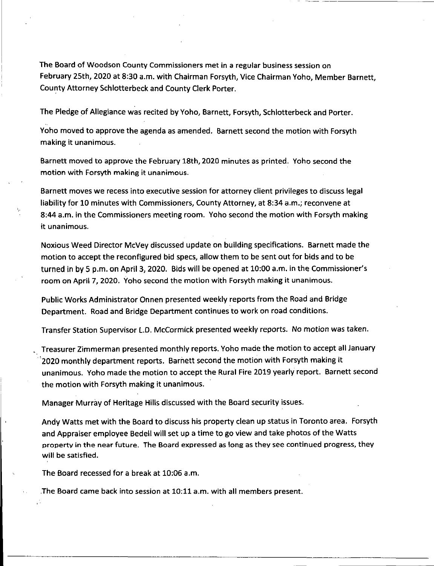The Board of Woodson County Commissioners met in a regular business session on February 25th, 2020 at 8:30 a.m. with Chairman Forsyth, Vice Chairman Yoho, Member Barnett, County Attorney Schlotterbeck and County Clerk Porter.

The Pledge of Allegiance was recited by Yoho, Barnett, Forsyth, Schlotterbeck and Porter.

Yoho moved to approve the agenda as amended. Barnett second the motion with Forsyth making it unanimous.

Barnett moved to approve the February 18th, 2020 minutes as printed. Yoho second the motion with Forsyth making it unanimous.

Barnett moves we recess into executive session for attorney client privileges to discuss legal liability for 10 minutes with Commissioners, County Attorney, at 8:34 a.m.; reconvene at 8:44 a.m. in the Commissioners meeting room. Yoho second the motion with Forsyth making it unanimous.

Noxious Weed Director McVey discussed update on building specifications. Barnett made the motion to accept the reconfigured bid specs, allow them to be sent out for bids and to be turned in by 5 p.m. on April 3, 2020. Bids will be opened at 10:00 a.m. in the Commissioner's room on April 7, 2020. Yoho second the motion with Forsyth making it unanimous.

Public Works Administrator Onnen presented weekly reports from the Road and Bridge Department. Road and Bridge Department continues to work on road conditions.

Transfer Station Supervisor LD. McCormick presented weekly reports. No motion was taken.

t Treasurer Zimmerman presented monthly reports. Yoho made the motion to accept all January '2020 monthly department reports. Barnett second the motion with Forsyth making it unanimous. Yoho made the motion to accept the Rural Fire 2019 yearly report. Barnett second the motion with Forsyth making it unanimous.

Manager Murray of Heritage Hills discussed with the Board security issues.

Andy Watts met with the Board to discuss his property clean up status in Toronto area. Forsyth and Appraiser employee Bedell will set up a time to go view and take photos ofthe Watts property in the near future. The Board expressed as long as they see continued progress, they will be satisfied.

The Board recessed for a break at 10:06 a.m.

The Board came back into session at 10:11 a.m. with all members present.